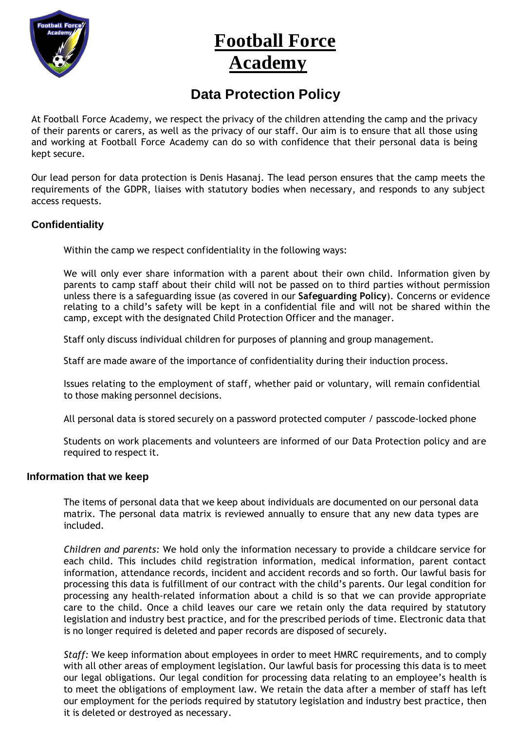

# **Football Force Academy**

# **Data Protection Policy**

At Football Force Academy, we respect the privacy of the children attending the camp and the privacy of their parents or carers, as well as the privacy of our staff. Our aim is to ensure that all those using and working at Football Force Academy can do so with confidence that their personal data is being kept secure.

Our lead person for data protection is Denis Hasanaj. The lead person ensures that the camp meets the requirements of the GDPR, liaises with statutory bodies when necessary, and responds to any subject access requests.

## **Confidentiality**

Within the camp we respect confidentiality in the following ways:

We will only ever share information with a parent about their own child. Information given by parents to camp staff about their child will not be passed on to third parties without permission unless there is a safeguarding issue (as covered in our **Safeguarding Policy**). Concerns or evidence relating to a child's safety will be kept in a confidential file and will not be shared within the camp, except with the designated Child Protection Officer and the manager.

Staff only discuss individual children for purposes of planning and group management.

Staff are made aware of the importance of confidentiality during their induction process.

Issues relating to the employment of staff, whether paid or voluntary, will remain confidential to those making personnel decisions.

All personal data is stored securely on a password protected computer / passcode-locked phone

Students on work placements and volunteers are informed of our Data Protection policy and are required to respect it.

#### **Information that we keep**

The items of personal data that we keep about individuals are documented on our personal data matrix. The personal data matrix is reviewed annually to ensure that any new data types are included.

*Children and parents:* We hold only the information necessary to provide a childcare service for each child. This includes child registration information, medical information, parent contact information, attendance records, incident and accident records and so forth. Our lawful basis for processing this data is fulfillment of our contract with the child's parents. Our legal condition for processing any health-related information about a child is so that we can provide appropriate care to the child. Once a child leaves our care we retain only the data required by statutory legislation and industry best practice, and for the prescribed periods of time. Electronic data that is no longer required is deleted and paper records are disposed of securely.

*Staff:* We keep information about employees in order to meet HMRC requirements, and to comply with all other areas of employment legislation. Our lawful basis for processing this data is to meet our legal obligations. Our legal condition for processing data relating to an employee's health is to meet the obligations of employment law. We retain the data after a member of staff has left our employment for the periods required by statutory legislation and industry best practice, then it is deleted or destroyed as necessary.